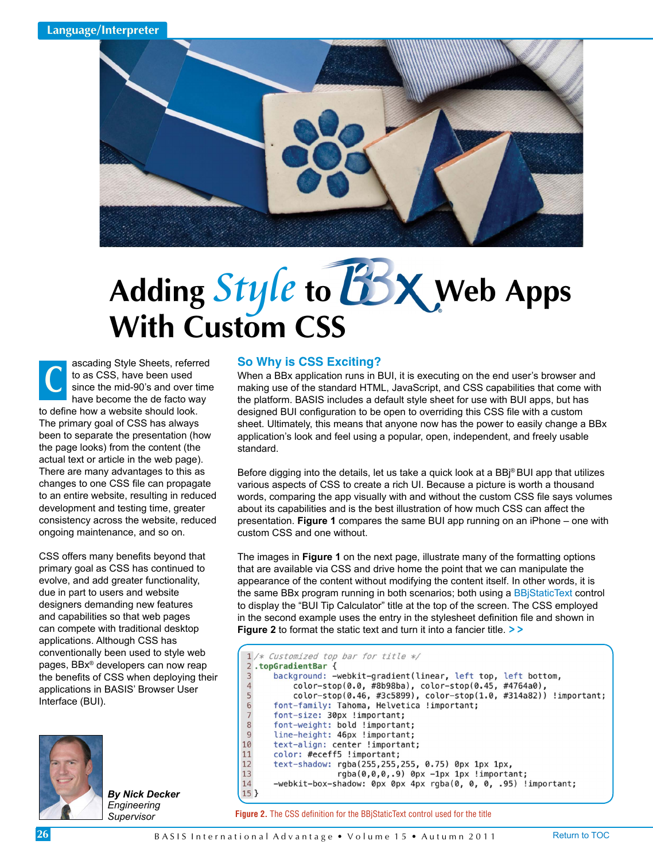

# Adding *Style* to **WEX** Web Apps **With Custom CSS**

ascading Style Sheets, referred to as CSS, have been used since the mid-90's and over time have become the de facto way to define how a website should look. The primary goal of CSS has always been to separate the presentation (how the page looks) from the content (the actual text or article in the web page). There are many advantages to this as changes to one CSS file can propagate to an entire website, resulting in reduced development and testing time, greater consistency across the website, reduced ongoing maintenance, and so on. **C**

CSS offers many benefits beyond that primary goal as CSS has continued to evolve, and add greater functionality, due in part to users and website designers demanding new features and capabilities so that web pages can compete with traditional desktop applications. Although CSS has conventionally been used to style web pages, BBx® developers can now reap the benefits of CSS when deploying their applications in BASIS' Browser User Interface (BUI).



*By Nick Decker Engineering Supervisor*

## **So Why is CSS Exciting?**

When a BBx application runs in BUI, it is executing on the end user's browser and making use of the standard HTML, JavaScript, and CSS capabilities that come with the platform. BASIS includes a default style sheet for use with BUI apps, but has designed BUI configuration to be open to overriding this CSS file with a custom sheet. Ultimately, this means that anyone now has the power to easily change a BBx application's look and feel using a popular, open, independent, and freely usable standard.

Before digging into the details, let us take a quick look at a BBj® BUI app that utilizes various aspects of CSS to create a rich UI. Because a picture is worth a thousand words, comparing the app visually with and without the custom CSS file says volumes about its capabilities and is the best illustration of how much CSS can affect the presentation. **Figure 1** compares the same BUI app running on an iPhone – one with custom CSS and one without.

The images in **Figure 1** on the next page, illustrate many of the formatting options that are available via CSS and drive home the point that we can manipulate the appearance of the content without modifying the content itself. In other words, it is the same BBx program running in both scenarios; both using [a BBjStaticText](http://documentation.basis.com/BASISHelp/WebHelp/gridctrl/bbjstatictext.htm) control to display the "BUI Tip Calculator" title at the top of the screen. The CSS employed in the second example uses the entry in the stylesheet definition file and shown in **Figure 2** to format the static text and turn it into a fancier title. **> >**

```
1 /* Customized top bar for title */
 2.topGradientBar {
 3
       background: -webkit-gradient(linear, left top, left bottom,
 \overline{4}color-stop(0.0, #8b98ba), color-stop(0.45, #4764a0),
 5
            color-stop(0.46, #3c5899), color-stop(1.0, #314a82)) !important;
 6\phantom{1}6font-family: Tahoma, Helvetica !important;
 \begin{array}{c} 7 \\ 8 \end{array}font-size: 30px !important;
       font-weight: bold !important;
 \overline{9}line-height: 46px !important;
10\,text-align: center !important;
11
       color: #eceff5 !important;
12\,text-shadow: rgba(255,255,255, 0.75) 0px 1px 1px,
13
                      rgba(0,0,0,.9) 0px -1px 1px !important;
14
       -webkit-box-shadow: 0px 0px 4px rgba(0, 0, 0, .95) !important;
15<sup>3</sup>
```
**Figure 2.** The CSS definition for the BBjStaticText control used for the title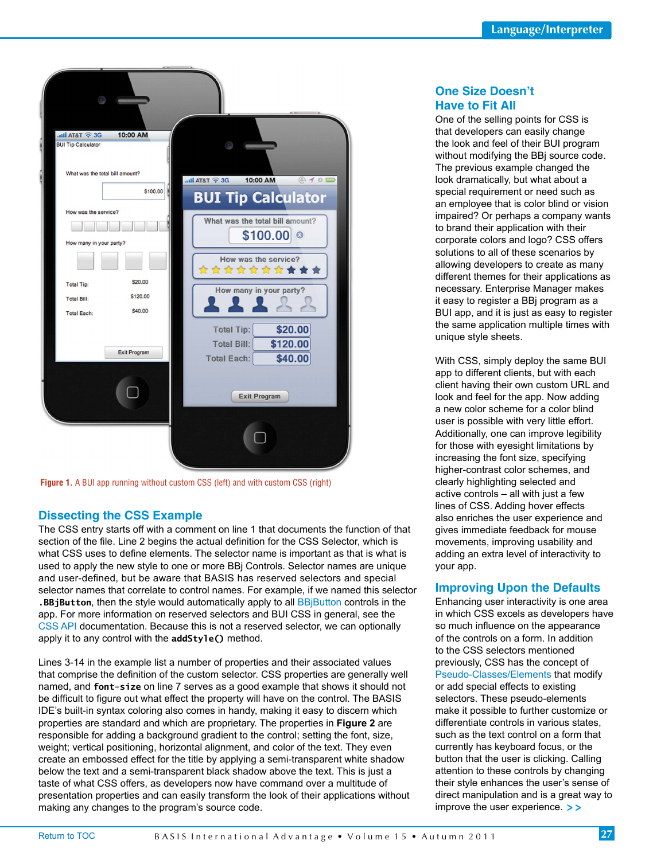

**Figure 1.** A BUI app running without custom CSS (left) and with custom CSS (right)

## **Dissecting the CSS Example**

The CSS entry starts off with a comment on line 1 that documents the function of that section of the file. Line 2 begins the actual definition for the CSS Selector, which is what CSS uses to define elements. The selector name is important as that is what is used to apply the new style to one or more BBj Controls. Selector names are unique and user-defined, but be aware that BASIS has reserved selectors and special selector names that correlate to control names. For example, if we named this selector **.BBjButton**, then the style would automatically apply to all [BBjButton](http://documentation.basis.com/BASISHelp/WebHelp/gridctrl/bbj_button.htm) controls in the app. For more information on reserved selectors and BUI CSS in general, see the [CSS API d](http://documentation.basis.com/BASISHelp/WebHelp/bui/css_api.htm)ocumentation. Because this is not a reserved selector, we can optionally apply it to any control with the **addStyle()** method.

Lines 3-14 in the example list a number of properties and their associated values that comprise the definition of the custom selector. CSS properties are generally well named, and **font-size** on line 7 serves as a good example that shows it should not be difficult to figure out what effect the property will have on the control. The BASIS IDE's built-in syntax coloring also comes in handy, making it easy to discern which properties are standard and which are proprietary. The properties in **Figure 2** are responsible for adding a background gradient to the control; setting the font, size, weight; vertical positioning, horizontal alignment, and color of the text. They even create an embossed effect for the title by applying a semi-transparent white shadow below the text and a semi-transparent black shadow above the text. This is just a taste of what CSS offers, as developers now have command over a multitude of presentation properties and can easily transform the look of their applications without making any changes to the program's source code.

## **One Size Doesn't Have to Fit All**

One of the selling points for CSS is that developers can easily change the look and feel of their BUI program without modifying the BBj source code. The previous example changed the look dramatically, but what about a special requirement or need such as an employee that is color blind or vision impaired? Or perhaps a company wants to brand their application with their corporate colors and logo? CSS offers solutions to all of these scenarios by allowing developers to create as many different themes for their applications as necessary. Enterprise Manager makes it easy to register a BBj program as a BUI app, and it is just as easy to register the same application multiple times with unique style sheets.

With CSS, simply deploy the same BUI app to different clients, but with each client having their own custom URL and look and feel for the app. Now adding a new color scheme for a color blind user is possible with very little effort. Additionally, one can improve legibility for those with eyesight limitations by increasing the font size, specifying higher-contrast color schemes, and clearly highlighting selected and active controls - all with just a few lines of CSS. Adding hover effects also enriches the user experience and gives immediate feedback for mouse movements, improving usability and adding an extra level of interactivity to your app.

## **Improving Upon the Defaults**

Enhancing user interactivity is one area in which CSS excels as developers have so much influence on the appearance of the controls on a form. In addition to the CSS selectors mentioned previously, CSS has the concept of [Pseudo-Classes/Elements th](http://www.w3schools.com/css/css_pseudo_classes.asp)at modify or add special effects to existing selectors. These pseudo-elements make it possible to further customize or differentiate controls in various states, such as the text control on a form that currently has keyboard focus, or the button that the user is clicking. Calling attention to these controls by changing their style enhances the user's sense of direct manipulation and is a great way to improve the user experience. **> >**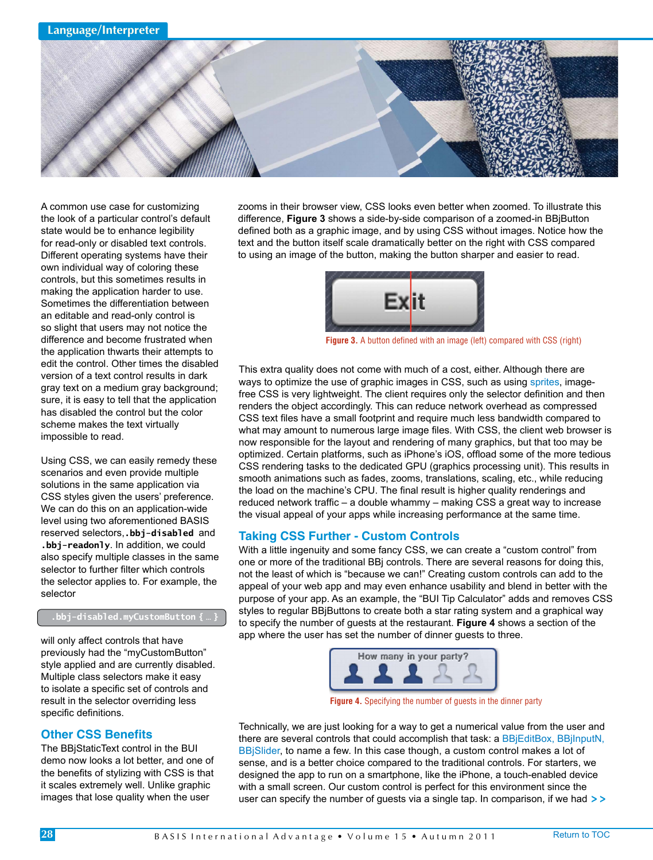

A common use case for customizing the look of a particular control's default state would be to enhance legibility for read-only or disabled text controls. Different operating systems have their own individual way of coloring these controls, but this sometimes results in making the application harder to use. Sometimes the differentiation between an editable and read-only control is so slight that users may not notice the difference and become frustrated when the application thwarts their attempts to edit the control. Other times the disabled version of a text control results in dark gray text on a medium gray background; sure, it is easy to tell that the application has disabled the control but the color scheme makes the text virtually impossible to read.

Using CSS, we can easily remedy these scenarios and even provide multiple solutions in the same application via CSS styles given the users' preference. We can do this on an application-wide level using two aforementioned BASIS reserved selectors,**.bbj-disabled** and **.bbj-readonly**. In addition, we could also specify multiple classes in the same selector to further filter which controls the selector applies to. For example, the selector

#### **.bbj-disabled.myCustomButton { … }**

will only affect controls that have previously had the "myCustomButton" style applied and are currently disabled. Multiple class selectors make it easy to isolate a specific set of controls and result in the selector overriding less specific definitions.

## **Other CSS Benefits**

The BBjStaticText control in the BUI demo now looks a lot better, and one of the benefits of stylizing with CSS is that it scales extremely well. Unlike graphic images that lose quality when the user

zooms in their browser view, CSS looks even better when zoomed. To illustrate this difference, **Figure 3** shows a side-by-side comparison of a zoomed-in BBjButton defined both as a graphic image, and by using CSS without images. Notice how the text and the button itself scale dramatically better on the right with CSS compared to using an image of the button, making the button sharper and easier to read.



**Figure 3.** A button defined with an image (left) compared with CSS (right)

This extra quality does not come with much of a cost, either. Although there are ways to optimize the use of graphic images in CSS, such as usin[g sprites, im](http://en.wikipedia.org/wiki/CSS_sprite#Sprites_by_CSS)agefree CSS is very lightweight. The client requires only the selector definition and then renders the object accordingly. This can reduce network overhead as compressed CSS text files have a small footprint and require much less bandwidth compared to what may amount to numerous large image files. With CSS, the client web browser is now responsible for the layout and rendering of many graphics, but that too may be optimized. Certain platforms, such as iPhone's iOS, offload some of the more tedious CSS rendering tasks to the dedicated GPU (graphics processing unit). This results in smooth animations such as fades, zooms, translations, scaling, etc., while reducing the load on the machine's CPU. The final result is higher quality renderings and reduced network traffic – a double whammy – making CSS a great way to increase the visual appeal of your apps while increasing performance at the same time.

## **Taking CSS Further - Custom Controls**

With a little ingenuity and some fancy CSS, we can create a "custom control" from one or more of the traditional BBj controls. There are several reasons for doing this, not the least of which is "because we can!" Creating custom controls can add to the appeal of your web app and may even enhance usability and blend in better with the purpose of your app. As an example, the "BUI Tip Calculator" adds and removes CSS styles to regular BBjButtons to create both a star rating system and a graphical way to specify the number of guests at the restaurant. **Figure 4** shows a section of the app where the user has set the number of dinner guests to three.



**Figure 4.** Specifying the number of guests in the dinner party

Technically, we are just looking for a way to get a numerical value from the user and there are several controls that could accomplish that task: [a BBjEditBox,](http://documentation.basis.com/BASISHelp/WebHelp/gridctrl/bbjeditbox.htm) BBjInputN, [BBjSlider, t](http://documentation.basis.com/BASISHelp/WebHelp/gridctrl2/bbjslider.htm)o name a few. In this case though, a custom control makes a lot of sense, and is a better choice compared to the traditional controls. For starters, we designed the app to run on a smartphone, like the iPhone, a touch-enabled device with a small screen. Our custom control is perfect for this environment since the user can specify the number of guests via a single tap. In comparison, if we had **> >**